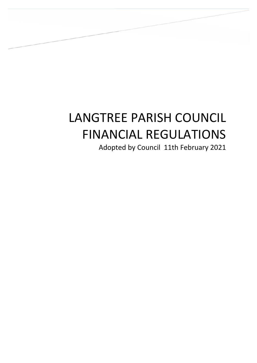# LANGTREE PARISH COUNCIL FINANCIAL REGULATIONS

LANGTREE PARISH COUNCIL FINANCIAL REGULATIONS

Adopted by Council 11th February 2021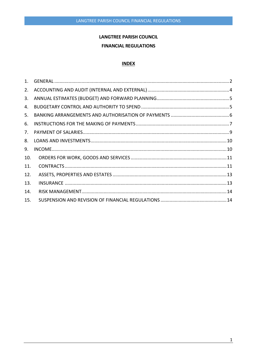# **LANGTREE PARISH COUNCIL**

# **FINANCIAL REGULATIONS**

# **INDEX**

| 2.  |  |
|-----|--|
| 3.  |  |
| 4.  |  |
| 5.  |  |
| 6.  |  |
| 7.  |  |
| 8.  |  |
| 9.  |  |
| 10. |  |
| 11. |  |
| 12. |  |
| 13. |  |
| 14. |  |
| 15. |  |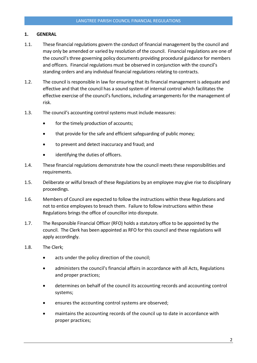# <span id="page-2-0"></span>1. GENERAL

- 1.1. These financial regulations govern the conduct of financial management by the council and may only be amended or varied by resolution of the council. Financial regulations are one of the council's three governing policy documents providing procedural guidance for members and officers. Financial regulations must be observed in conjunction with the council's standing orders and any individual financial regulations relating to contracts.
- 1.2. The council is responsible in law for ensuring that its financial management is adequate and effective and that the council has a sound system of internal control which facilitates the effective exercise of the council's functions, including arrangements for the management of risk.
- 1.3. The council's accounting control systems must include measures:
	- for the timely production of accounts;
	- that provide for the safe and efficient safeguarding of public money;
	- to prevent and detect inaccuracy and fraud; and
	- identifying the duties of officers.
- 1.4. These financial regulations demonstrate how the council meets these responsibilities and requirements.
- 1.5. Deliberate or wilful breach of these Regulations by an employee may give rise to disciplinary proceedings.
- 1.6. Members of Council are expected to follow the instructions within these Regulations and not to entice employees to breach them. Failure to follow instructions within these Regulations brings the office of councillor into disrepute.
- 1.7. The Responsible Financial Officer (RFO) holds a statutory office to be appointed by the council. The Clerk has been appointed as RFO for this council and these regulations will apply accordingly.
- 1.8. The Clerk;
	- acts under the policy direction of the council;
	- administers the council's financial affairs in accordance with all Acts, Regulations and proper practices;
	- determines on behalf of the council its accounting records and accounting control systems;
	- ensures the accounting control systems are observed;
	- maintains the accounting records of the council up to date in accordance with proper practices;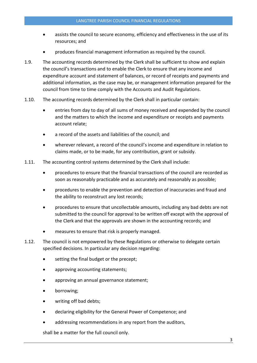- assists the council to secure economy, efficiency and effectiveness in the use of its resources; and
- produces financial management information as required by the council.
- 1.9. The accounting records determined by the Clerk shall be sufficient to show and explain the council's transactions and to enable the Clerk to ensure that any income and expenditure account and statement of balances, or record of receipts and payments and additional information, as the case may be, or management information prepared for the council from time to time comply with the Accounts and Audit Regulations.
- 1.10. The accounting records determined by the Clerk shall in particular contain:
	- entries from day to day of all sums of money received and expended by the council and the matters to which the income and expenditure or receipts and payments account relate;
	- a record of the assets and liabilities of the council; and
	- wherever relevant, a record of the council's income and expenditure in relation to claims made, or to be made, for any contribution, grant or subsidy.
- 1.11. The accounting control systems determined by the Clerk shall include:
	- procedures to ensure that the financial transactions of the council are recorded as soon as reasonably practicable and as accurately and reasonably as possible;
	- procedures to enable the prevention and detection of inaccuracies and fraud and the ability to reconstruct any lost records;
	- procedures to ensure that uncollectable amounts, including any bad debts are not submitted to the council for approval to be written off except with the approval of the Clerk and that the approvals are shown in the accounting records; and
	- measures to ensure that risk is properly managed.
- 1.12. The council is not empowered by these Regulations or otherwise to delegate certain specified decisions. In particular any decision regarding:
	- setting the final budget or the precept;
	- approving accounting statements;
	- approving an annual governance statement;
	- borrowing;
	- writing off bad debts;
	- declaring eligibility for the General Power of Competence; and
	- addressing recommendations in any report from the auditors,

shall be a matter for the full council only.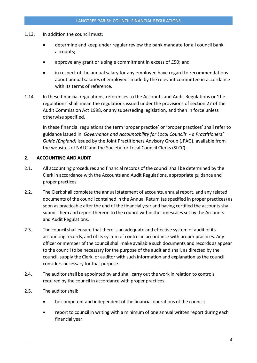- 1.13. In addition the council must:
	- determine and keep under regular review the bank mandate for all council bank accounts;
	- approve any grant or a single commitment in excess of £50; and
	- in respect of the annual salary for any employee have regard to recommendations about annual salaries of employees made by the relevant committee in accordance with its terms of reference.
- 1.14. In these financial regulations, references to the Accounts and Audit Regulations or 'the regulations' shall mean the regulations issued under the provisions of section 27 of the Audit Commission Act 1998, or any superseding legislation, and then in force unless otherwise specified.

In these financial regulations the term 'proper practice' or 'proper practices' shall refer to guidance issued in *Governance and Accountability for Local Councils - a Practitioners' Guide (England)* issued by the Joint Practitioners Advisory Group (JPAG), available from the websites of NALC and the Society for Local Council Clerks (SLCC).

# <span id="page-4-0"></span>2. ACCOUNTING AND AUDIT

- 2.1. All accounting procedures and financial records of the council shall be determined by the Clerk in accordance with the Accounts and Audit Regulations, appropriate guidance and proper practices.
- 2.2. The Clerk shall complete the annual statement of accounts, annual report, and any related documents of the council contained in the Annual Return (as specified in proper practices) as soon as practicable after the end of the financial year and having certified the accounts shall submit them and report thereon to the council within the timescales set by the Accounts and Audit Regulations.
- 2.3. The council shall ensure that there is an adequate and effective system of audit of its accounting records, and of its system of control in accordance with proper practices. Any officer or member of the council shall make available such documents and records as appear to the council to be necessary for the purpose of the audit and shall, as directed by the council, supply the Clerk, or auditor with such information and explanation as the council considers necessary for that purpose.
- 2.4. The auditor shall be appointed by and shall carry out the work in relation to controls required by the council in accordance with proper practices.
- 2.5. The auditor shall:
	- be competent and independent of the financial operations of the council;
	- report to council in writing with a minimum of one annual written report during each financial year;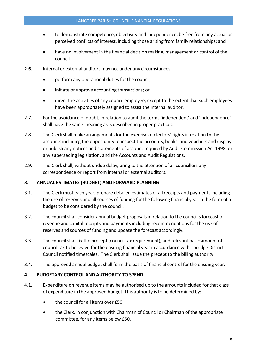- to demonstrate competence, objectivity and independence, be free from any actual or perceived conflicts of interest, including those arising from family relationships; and
- have no involvement in the financial decision making, management or control of the council.
- 2.6. Internal or external auditors may not under any circumstances:
	- perform any operational duties for the council;
	- initiate or approve accounting transactions; or
	- direct the activities of any council employee, except to the extent that such employees have been appropriately assigned to assist the internal auditor.
- 2.7. For the avoidance of doubt, in relation to audit the terms 'independent' and 'independence' shall have the same meaning as is described in proper practices.
- 2.8. The Clerk shall make arrangements for the exercise of electors' rights in relation to the accounts including the opportunity to inspect the accounts, books, and vouchers and display or publish any notices and statements of account required by Audit Commission Act 1998, or any superseding legislation, and the Accounts and Audit Regulations.
- 2.9. The Clerk shall, without undue delay, bring to the attention of all councillors any correspondence or report from internal or external auditors.

# <span id="page-5-0"></span>3. ANNUAL ESTIMATES (BUDGET) AND FORWARD PLANNING

- 3.1. The Clerk must each year, prepare detailed estimates of all receipts and payments including the use of reserves and all sources of funding for the following financial year in the form of a budget to be considered by the council.
- 3.2. The council shall consider annual budget proposals in relation to the council's forecast of revenue and capital receipts and payments including recommendations for the use of reserves and sources of funding and update the forecast accordingly.
- 3.3. The council shall fix the precept (council tax requirement), and relevant basic amount of council tax to be levied for the ensuing financial year in accordance with Torridge District Council notified timescales. The Clerk shall issue the precept to the billing authority.
- 3.4. The approved annual budget shall form the basis of financial control for the ensuing year.

# <span id="page-5-1"></span>4. BUDGETARY CONTROL AND AUTHORITY TO SPEND

- 4.1. Expenditure on revenue items may be authorised up to the amounts included for that class of expenditure in the approved budget. This authority is to be determined by:
	- the council for all items over £50;
	- the Clerk, in conjunction with Chairman of Council or Chairman of the appropriate committee, for any items below £50.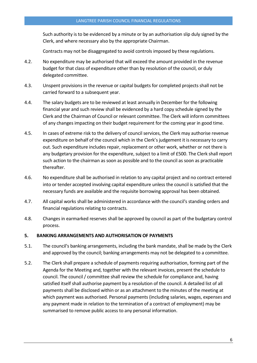Such authority is to be evidenced by a minute or by an authorisation slip duly signed by the Clerk, and where necessary also by the appropriate Chairman.

Contracts may not be disaggregated to avoid controls imposed by these regulations.

- 4.2. No expenditure may be authorised that will exceed the amount provided in the revenue budget for that class of expenditure other than by resolution of the council, or duly delegated committee.
- 4.3. Unspent provisions in the revenue or capital budgets for completed projectsshall not be carried forward to a subsequent year.
- 4.4. The salary budgets are to be reviewed at least annually in December for the following financial year and such review shall be evidenced by a hard copy schedule signed by the Clerk and the Chairman of Council or relevant committee. The Clerk will inform committees of any changes impacting on their budget requirement for the coming year in good time.
- 4.5. In cases of extreme risk to the delivery of council services, the Clerk may authorise revenue expenditure on behalf of the council which in the Clerk's judgement it is necessary to carry out. Such expenditure includes repair, replacement or other work, whether or not there is any budgetary provision for the expenditure, subject to a limit of £500. The Clerk shall report such action to the chairman as soon as possible and to the council as soon as practicable thereafter.
- 4.6. No expenditure shall be authorised in relation to any capital project and no contract entered into or tender accepted involving capital expenditure unless the council is satisfied that the necessary funds are available and the requisite borrowing approval has been obtained.
- 4.7. All capital works shall be administered in accordance with the council's standing orders and financial regulations relating to contracts.
- 4.8. Changes in earmarked reserves shall be approved by council as part of the budgetary control process.

# <span id="page-6-0"></span>5. BANKING ARRANGEMENTS AND AUTHORISATION OF PAYMENTS

- 5.1. The council's banking arrangements, including the bank mandate, shall be made by the Clerk and approved by the council; banking arrangements may not be delegated to a committee.
- 5.2. The Clerk shall prepare a schedule of payments requiring authorisation, forming part of the Agenda for the Meeting and, together with the relevant invoices, present the schedule to council. The council/ committee shall review the schedule for compliance and, having satisfied itself shall authorise payment by a resolution of the council. A detailed list of all payments shall be disclosed within or as an attachment to the minutes of the meeting at which payment was authorised. Personal payments (including salaries, wages, expenses and any payment made in relation to the termination of a contract of employment) may be summarised to remove public access to any personal information.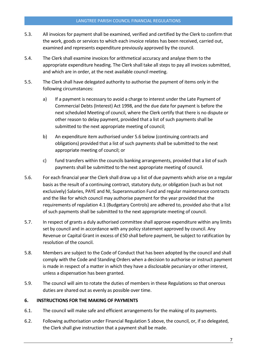#### LANGTREE PARISH COUNCIL FINANCIAL REGULATIONS

- 5.3. All invoices for payment shall be examined, verified and certified by the Clerk to confirm that the work, goods or services to which each invoice relates has been received, carried out, examined and represents expenditure previously approved by the council.
- 5.4. The Clerk shall examine invoices for arithmetical accuracy and analyse them to the appropriate expenditure heading. The Clerk shall take all steps to pay all invoices submitted, and which are in order, at the next available council meeting.
- 5.5. The Clerk shall have delegated authority to authorise the payment of items only in the following circumstances:
	- a) If a payment is necessary to avoid a charge to interest under the Late Payment of Commercial Debts (Interest) Act 1998, and the due date for payment is before the next scheduled Meeting of council, where the Clerk certify that there is no dispute or other reason to delay payment, provided that a list of such payments shall be submitted to the next appropriate meeting of council;
	- b) An expenditure item authorised under 5.6 below (continuing contracts and obligations) provided that a list of such payments shall be submitted to the next appropriate meeting of council; or
	- c) fund transfers within the councils banking arrangements, provided that a list of such payments shall be submitted to the next appropriate meeting of council.
- 5.6. For each financial year the Clerk shall draw up a list of due payments which arise on a regular basis as the result of a continuing contract, statutory duty, or obligation (such as but not exclusively) Salaries, PAYE and NI, Superannuation Fund and regular maintenance contracts and the like for which council may authorise payment for the year provided that the requirements of regulation 4.1 (Budgetary Controls) are adhered to, provided also that a list of such payments shall be submitted to the next appropriate meeting of council.
- 5.7. In respect of grants a duly authorised committee shall approve expenditure within any limits set by council and in accordance with any policy statement approved by council. Any Revenue or Capital Grant in excess of £50 shall before payment, be subject to ratification by resolution of the council.
- 5.8. Members are subject to the Code of Conduct that has been adopted by the council and shall comply with the Code and Standing Orders when a decision to authorise or instruct payment is made in respect of a matter in which they have a disclosable pecuniary or other interest, unless a dispensation has been granted.
- 5.9. The council will aim to rotate the duties of members in these Regulations so that onerous duties are shared out as evenly as possible over time.

# <span id="page-7-0"></span>6. INSTRUCTIONS FOR THE MAKING OF PAYMENTS

- 6.1. The council will make safe and efficient arrangements for the making of its payments.
- 6.2. Following authorisation under Financial Regulation 5 above, the council, or, if so delegated, the Clerk shall give instruction that a payment shall be made.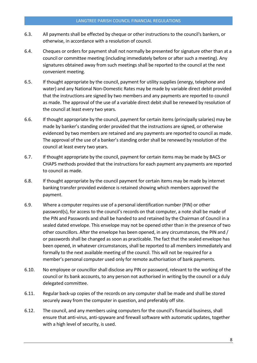- 6.3. All payments shall be effected by cheque or other instructions to the council's bankers, or otherwise, in accordance with a resolution of council.
- 6.4. Cheques or orders for payment shall not normally be presented for signature other than at a council or committee meeting (including immediately before or after such a meeting). Any signatures obtained away from such meetings shall be reported to the council at the next convenient meeting.
- 6.5. If thought appropriate by the council, payment for utility supplies (energy, telephone and water) and any National Non-Domestic Rates may be made by variable direct debit provided that the instructions are signed by two members and any payments are reported to council as made. The approval of the use of a variable direct debit shall be renewed by resolution of the council at least every two years.
- 6.6. If thought appropriate by the council, payment for certain items (principally salaries) may be made by banker's standing order provided that the instructions are signed, or otherwise evidenced by two members are retained and any payments are reported to council as made. The approval of the use of a banker's standing order shall be renewed by resolution of the council at least every two years.
- 6.7. If thought appropriate by the council, payment for certain items may be made by BACS or CHAPS methods provided that the instructions for each payment any payments are reported to council as made.
- 6.8. If thought appropriate by the council payment for certain items may be made by internet banking transfer provided evidence is retained showing which members approved the payment.
- 6.9. Where a computer requires use of a personal identification number (PIN) or other password(s), for access to the council's records on that computer, a note shall be made of the PIN and Passwords and shall be handed to and retained by the Chairman of Council in a sealed dated envelope. This envelope may not be opened other than in the presence of two other councillors. After the envelope has been opened, in any circumstances, the PIN and / or passwords shall be changed as soon as practicable. The fact that the sealed envelope has been opened, in whatever circumstances, shall be reported to all members immediately and formally to the next available meeting of the council. This will not be required for a member's personal computer used only for remote authorisation of bank payments.
- 6.10. No employee or councillor shall disclose any PIN or password, relevant to the working of the council or its bank accounts, to any person not authorised in writing by the council or a duly delegated committee.
- 6.11. Regular back-up copies of the records on any computer shall be made and shall be stored securely away from the computer in question, and preferably off site.
- 6.12. The council, and any members using computers for the council's financial business, shall ensure that anti-virus, anti-spyware and firewall software with automatic updates, together with a high level of security, is used.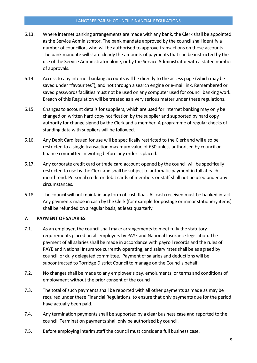#### LANGTREE PARISH COUNCIL FINANCIAL REGULATIONS

- 6.13. Where internet banking arrangements are made with any bank, the Clerk shall be appointed as the Service Administrator. The bank mandate approved by the council shall identify a number of councillors who will be authorised to approve transactions on those accounts. The bank mandate will state clearly the amounts of payments that can be instructed by the use of the Service Administrator alone, or by the Service Administrator with a stated number of approvals.
- 6.14. Access to any internet banking accounts will be directly to the access page (which may be saved under "favourites"), and not through a search engine or e-mail link. Remembered or saved passwords facilities must not be used on any computer used for council banking work. Breach of this Regulation will be treated as a very serious matter under these regulations.
- 6.15. Changes to account details for suppliers, which are used for internet banking may only be changed on written hard copy notification by the supplier and supported by hard copy authority for change signed by the Clerk and a member. A programme of regular checks of standing data with suppliers will be followed.
- 6.16. Any Debit Card issued for use will be specifically restricted to the Clerk and will also be restricted to a single transaction maximum value of £50 unless authorised by council or finance committee in writing before any order is placed.
- 6.17. Any corporate credit card or trade card account opened by the council will be specifically restricted to use by the Clerk and shall be subject to automatic payment in full at each month-end. Personal credit or debit cards of members or staff shall not be used under any circumstances.
- 6.18. The council will not maintain any form of cash float. All cash received must be banked intact. Any payments made in cash by the Clerk (for example for postage or minor stationery items) shall be refunded on a regular basis, at least quarterly.

# <span id="page-9-0"></span>7. PAYMENT OF SALARIES

- 7.1. As an employer, the council shall make arrangements to meet fully the statutory requirements placed on all employers by PAYE and National Insurance legislation. The payment of all salaries shall be made in accordance with payroll records and the rules of PAYE and National Insurance currently operating, and salary rates shall be as agreed by council, or duly delegated committee. Payment of salaries and deductions will be subcontracted to Torridge District Council to manage on the Councils behalf.
- 7.2. No changes shall be made to any employee's pay, emoluments, or terms and conditions of employment without the prior consent of the council.
- 7.3. The total of such payments shall be reported with all other payments as made as may be required under these Financial Regulations, to ensure that only payments due for the period have actually been paid.
- 7.4. Any termination payments shall be supported by a clear business case and reported to the council. Termination payments shall only be authorised by council.
- 7.5. Before employing interim staff the council must consider a full business case.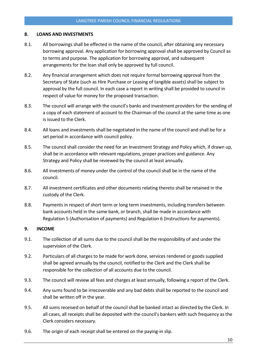#### <span id="page-10-0"></span>8. LOANS AND INVESTMENTS

- 8.1. All borrowings shall be effected in the name of the council, after obtaining any necessary borrowing approval. Any application for borrowing approval shall be approved by Council as to terms and purpose. The application for borrowing approval, and subsequent arrangements for the loan shall only be approved by full council.
- 8.2. Any financial arrangement which does not require formal borrowing approval from the Secretary of State (such as Hire Purchase or Leasing of tangible assets) shall be subject to approval by the full council. In each case a report in writing shall be provided to council in respect of value for money for the proposed transaction.
- 8.3. The council will arrange with the council's banks and investment providers for the sending of a copy of each statement of account to the Chairman of the council at the same time as one is issued to the Clerk.
- 8.4. All loans and investments shall be negotiated in the name of the council and shall be for a set period in accordance with council policy.
- 8.5. The council shall consider the need for an Investment Strategy and Policy which, if drawn up, shall be in accordance with relevant regulations, proper practices and guidance. Any Strategy and Policy shall be reviewed by the council at least annually.
- 8.6. All investments of money under the control of the council shall be in the name of the council.
- 8.7. All investment certificates and other documents relating thereto shall be retained in the custody of the Clerk.
- 8.8. Payments in respect of short term or long term investments, including transfers between bank accounts held in the same bank, or branch, shall be made in accordance with Regulation 5 (Authorisation of payments) and Regulation 6 (Instructions for payments).

#### <span id="page-10-1"></span>9. INCOME

- 9.1. The collection of all sums due to the council shall be the responsibility of and under the supervision of the Clerk.
- 9.2. Particulars of all charges to be made for work done, services rendered or goods supplied shall be agreed annually by the council, notified to the Clerk and the Clerk shall be responsible for the collection of all accounts due to the council.
- 9.3. The council will review all fees and charges at least annually, following a report of the Clerk.
- 9.4. Any sums found to be irrecoverable and any bad debts shall be reported to the council and shall be written off in the year.
- 9.5. All sums received on behalf of the council shall be banked intact as directed by the Clerk. In all cases, all receipts shall be deposited with the council's bankers with such frequency as the Clerk considers necessary.
- 9.6. The origin of each receipt shall be entered on the paying-in slip.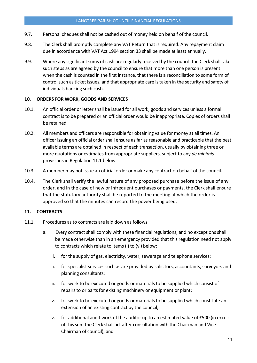- 9.7. Personal cheques shall not be cashed out of money held on behalf of the council.
- 9.8. The Clerk shall promptly complete any VAT Return that is required. Any repayment claim due in accordance with VAT Act 1994 section 33 shall be made at least annually.
- 9.9. Where any significant sums of cash are regularly received by the council, the Clerk shall take such steps as are agreed by the council to ensure that more than one person is present when the cash is counted in the first instance, that there is a reconciliation to some form of control such as ticket issues, and that appropriate care is taken in the security and safety of individuals banking such cash.

#### <span id="page-11-0"></span>10. ORDERS FOR WORK, GOODS AND SERVICES

- 10.1. An official order or letter shall be issued for all work, goods and services unless a formal contract is to be prepared or an official order would be inappropriate. Copies of orders shall be retained.
- 10.2. All members and officers are responsible for obtaining value for money at all times. An officer issuing an official order shall ensure as far as reasonable and practicable that the best available terms are obtained in respect of each transaction, usually by obtaining three or more quotations or estimates from appropriate suppliers, subject to any *de minimis* provisions in Regulation 11.1 below.
- 10.3. A member may not issue an official order or make any contract on behalf of the council.
- 10.4. The Clerk shall verify the lawful nature of any proposed purchase before the issue of any order, and in the case of new or infrequent purchases or payments, the Clerk shall ensure that the statutory authority shall be reported to the meeting at which the order is approved so that the minutes can record the power being used.

#### <span id="page-11-1"></span>11. CONTRACTS

- 11.1. Procedures as to contracts are laid down as follows:
	- a. Every contract shall comply with these financial regulations, and no exceptions shall be made otherwise than in an emergency provided that this regulation need not apply to contracts which relate to items (i) to (vi) below:
		- i. for the supply of gas, electricity, water, sewerage and telephone services;
		- ii. for specialist services such as are provided by solicitors, accountants, surveyors and planning consultants;
		- iii. for work to be executed or goods or materials to be supplied which consist of repairs to or parts for existing machinery or equipment or plant;
		- iv. for work to be executed or goods or materials to be supplied which constitute an extension of an existing contract by the council;
		- v. for additional audit work of the auditor up to an estimated value of £500 (in excess of this sum the Clerk shall act after consultation with the Chairman and Vice Chairman of council); and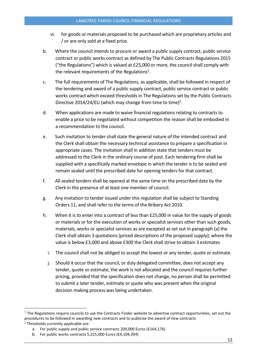- vi. for goods or materials proposed to be purchased which are proprietary articles and / or are only sold at a fixed price.
- b. Where the council intends to procure or award a public supply contract, public service contract or public works contract as defined by The Public Contracts Regulations 2015 ("the Regulations") which is valued at £25,000 or more, the council shall comply with the relevant requirements of the Regulations<sup>1</sup>.
- c. The full requirements of The Regulations, as applicable, shall be followed in respect of the tendering and award of a public supply contract, public service contract or public works contractwhich exceed thresholds in The Regulations set by the Public Contracts Directive 2014/24/EU (which may change from time to time)<sup>2</sup>.
- d. When applications are made to waive financial regulations relating to contracts to enable a price to be negotiated without competition the reason shall be embodied in a recommendation to the council.
- e. Such invitation to tender shall state the general nature of the intended contract and the Clerk shall obtain the necessary technical assistance to prepare a specification in appropriate cases. The invitation shall in addition state that tenders must be addressed to the Clerk in the ordinary course of post. Each tendering firm shall be supplied with a specifically marked envelope in which the tender is to be sealed and remain sealed until the prescribed date for opening tenders for that contract.
- f. All sealed tenders shall be opened at the same time on the prescribed date by the Clerk in the presence of at least one member of council.
- g. Any invitation to tender issued under this regulation shall be subject to Standing Orders 11, and shall refer to the terms of the Bribery Act 2010.
- h. When it is to enter into a contract of less than £25,000 in value for the supply of goods or materials or for the execution of works or specialist services other than such goods, materials, works or specialist services as are excepted as set out in paragraph (a) the Clerk shall obtain 3 quotations (priced descriptions of the proposed supply); where the value is below £3,000 and above £300 the Clerk shall strive to obtain 3 estimates
	- i. The council shall not be obliged to accept the lowest or any tender, quote or estimate.
	- j. Should it occur that the council, or duly delegated committee, does not accept any tender, quote or estimate, the work is not allocated and the council requires further pricing, provided that the specification does not change, no person shall be permitted to submit a later tender, estimate or quote who was present when the original decision making process was being undertaken.

 $1$  The Regulations require councils to use the Contracts Finder website to advertise contract opportunities, set out the procedures to be followed in awarding new contracts and to publicise the award of new contracts <sup>2</sup> Thresholds currently applicable are:

a. For public supply and public service contracts 209,000 Euros (£164,176)

b. For public works contracts 5,225,000 Euros (£4,104,394)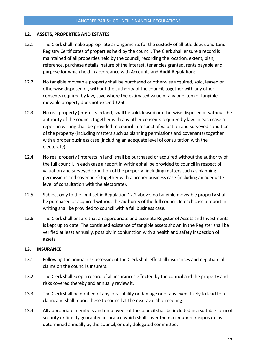## <span id="page-13-0"></span>12. ASSETS, PROPERTIES AND ESTATES

- 12.1. The Clerk shall make appropriate arrangements for the custody of all title deeds and Land Registry Certificates of properties held by the council. The Clerk shall ensure a record is maintained of all properties held by the council, recording the location, extent, plan, reference, purchase details, nature of the interest, tenancies granted, rents payable and purpose for which held in accordance with Accounts and Audit Regulations.
- 12.2. No tangible moveable property shall be purchased or otherwise acquired, sold, leased or otherwise disposed of, without the authority of the council, together with any other consents required by law, save where the estimated value of any one item of tangible movable property does not exceed £250.
- 12.3. No real property (interests in land) shall be sold, leased or otherwise disposed of without the authority of the council, together with any other consents required by law. In each case a report in writing shall be provided to council in respect of valuation and surveyed condition of the property (including matters such as planning permissions and covenants) together with a proper business case (including an adequate level of consultation with the electorate).
- 12.4. No real property (interests in land) shall be purchased or acquired without the authority of the full council. In each case a report in writing shall be provided to council in respect of valuation and surveyed condition of the property (including matters such as planning permissions and covenants) together with a proper business case (including an adequate level of consultation with the electorate).
- 12.5. Subject only to the limit set in Regulation 12.2 above, no tangible moveable property shall be purchased or acquired without the authority of the full council. In each case a report in writing shall be provided to council with a full business case.
- 12.6. The Clerk shall ensure that an appropriate and accurate Register of Assets and Investments is kept up to date. The continued existence of tangible assets shown in the Register shall be verified at least annually, possibly in conjunction with a health and safety inspection of assets.

#### <span id="page-13-1"></span>13. INSURANCE

- 13.1. Following the annual risk assessment the Clerk shall effect all insurances and negotiate all claims on the council's insurers.
- 13.2. The Clerk shall keep a record of all insurances effected by the council and the property and risks covered thereby and annually review it.
- 13.3. The Clerk shall be notified of any loss liability or damage or of any event likely to lead to a claim, and shall report these to council at the next available meeting.
- 13.4. All appropriate members and employees of the council shall be included in a suitable form of security or fidelity guarantee insurance which shall cover the maximum risk exposure as determined annually by the council, or duly delegated committee.